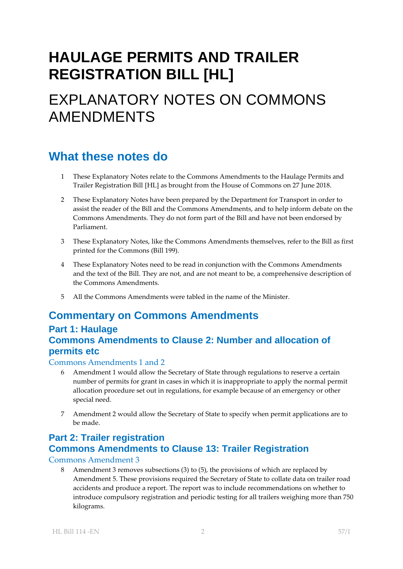# **HAULAGE PERMITS AND TRAILER REGISTRATION BILL [HL]**

## EXPLANATORY NOTES ON COMMONS AMENDMENTS

## **What these notes do**

- 1 These Explanatory Notes relate to the Commons Amendments to the Haulage Permits and Trailer Registration Bill [HL] as brought from the House of Commons on 27 June 2018.
- 2 These Explanatory Notes have been prepared by the Department for Transport in order to assist the reader of the Bill and the Commons Amendments, and to help inform debate on the Commons Amendments. They do not form part of the Bill and have not been endorsed by Parliament.
- 3 These Explanatory Notes, like the Commons Amendments themselves, refer to the Bill as first printed for the Commons (Bill 199).
- 4 These Explanatory Notes need to be read in conjunction with the Commons Amendments and the text of the Bill. They are not, and are not meant to be, a comprehensive description of the Commons Amendments.
- 5 All the Commons Amendments were tabled in the name of the Minister.

## **Commentary on Commons Amendments**

### **Part 1: Haulage Commons Amendments to Clause 2: Number and allocation of permits etc**

#### Commons Amendments 1 and 2

- 6 Amendment 1 would allow the Secretary of State through regulations to reserve a certain number of permits for grant in cases in which it is inappropriate to apply the normal permit allocation procedure set out in regulations, for example because of an emergency or other special need.
- 7 Amendment 2 would allow the Secretary of State to specify when permit applications are to be made.

## **Part 2: Trailer registration Commons Amendments to Clause 13: Trailer Registration**

Commons Amendment 3

8 Amendment 3 removes subsections (3) to (5), the provisions of which are replaced by Amendment 5. These provisions required the Secretary of State to collate data on trailer road accidents and produce a report. The report was to include recommendations on whether to introduce compulsory registration and periodic testing for all trailers weighing more than 750 kilograms.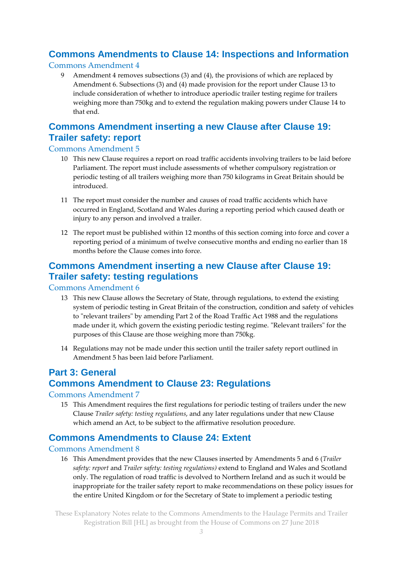## **Commons Amendments to Clause 14: Inspections and Information**

#### Commons Amendment 4

Amendment 4 removes subsections (3) and (4), the provisions of which are replaced by Amendment 6. Subsections (3) and (4) made provision for the report under Clause 13 to include consideration of whether to introduce aperiodic trailer testing regime for trailers weighing more than 750kg and to extend the regulation making powers under Clause 14 to that end.

## **Commons Amendment inserting a new Clause after Clause 19: Trailer safety: report**

#### Commons Amendment 5

- 10 This new Clause requires a report on road traffic accidents involving trailers to be laid before Parliament. The report must include assessments of whether compulsory registration or periodic testing of all trailers weighing more than 750 kilograms in Great Britain should be introduced.
- 11 The report must consider the number and causes of road traffic accidents which have occurred in England, Scotland and Wales during a reporting period which caused death or injury to any person and involved a trailer.
- 12 The report must be published within 12 months of this section coming into force and cover a reporting period of a minimum of twelve consecutive months and ending no earlier than 18 months before the Clause comes into force.

### **Commons Amendment inserting a new Clause after Clause 19: Trailer safety: testing regulations**

#### Commons Amendment 6

- 13 This new Clause allows the Secretary of State, through regulations, to extend the existing system of periodic testing in Great Britain of the construction, condition and safety of vehicles to "relevant trailers" by amending Part 2 of the Road Traffic Act 1988 and the regulations made under it, which govern the existing periodic testing regime. "Relevant trailers" for the purposes of this Clause are those weighing more than 750kg.
- 14 Regulations may not be made under this section until the trailer safety report outlined in Amendment 5 has been laid before Parliament.

## **Part 3: General Commons Amendment to Clause 23: Regulations**

#### Commons Amendment 7

15 This Amendment requires the first regulations for periodic testing of trailers under the new Clause *Trailer safety: testing regulations*, and any later regulations under that new Clause which amend an Act, to be subject to the affirmative resolution procedure.

### **Commons Amendments to Clause 24: Extent**

#### Commons Amendment 8

16 This Amendment provides that the new Clauses inserted by Amendments 5 and 6 (*Trailer safety: report* and *Trailer safety: testing regulations)* extend to England and Wales and Scotland only. The regulation of road traffic is devolved to Northern Ireland and as such it would be inappropriate for the trailer safety report to make recommendations on these policy issues for the entire United Kingdom or for the Secretary of State to implement a periodic testing

These Explanatory Notes relate to the Commons Amendments to the Haulage Permits and Trailer Registration Bill [HL] as brought from the House of Commons on 27 June 2018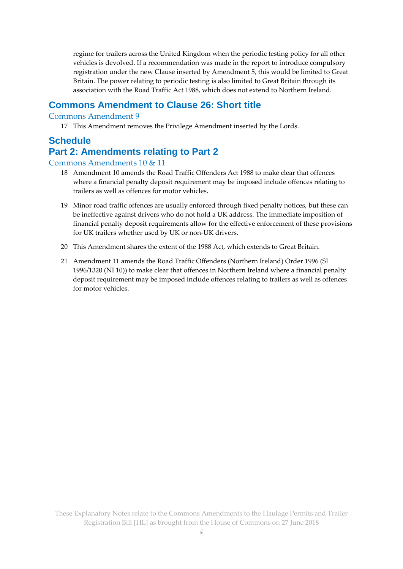regime for trailers across the United Kingdom when the periodic testing policy for all other vehicles is devolved. If a recommendation was made in the report to introduce compulsory registration under the new Clause inserted by Amendment 5, this would be limited to Great Britain. The power relating to periodic testing is also limited to Great Britain through its association with the Road Traffic Act 1988, which does not extend to Northern Ireland.

#### **Commons Amendment to Clause 26: Short title**

#### Commons Amendment 9

17 This Amendment removes the Privilege Amendment inserted by the Lords.

#### **Schedule Part 2: Amendments relating to Part 2**

### Commons Amendments 10 & 11

- 18 Amendment 10 amends the Road Traffic Offenders Act 1988 to make clear that offences where a financial penalty deposit requirement may be imposed include offences relating to trailers as well as offences for motor vehicles.
- 19 Minor road traffic offences are usually enforced through fixed penalty notices, but these can be ineffective against drivers who do not hold a UK address. The immediate imposition of financial penalty deposit requirements allow for the effective enforcement of these provisions for UK trailers whether used by UK or non-UK drivers.
- 20 This Amendment shares the extent of the 1988 Act, which extends to Great Britain.
- 21 Amendment 11 amends the Road Traffic Offenders (Northern Ireland) Order 1996 (SI 1996/1320 (NI 10)) to make clear that offences in Northern Ireland where a financial penalty deposit requirement may be imposed include offences relating to trailers as well as offences for motor vehicles.